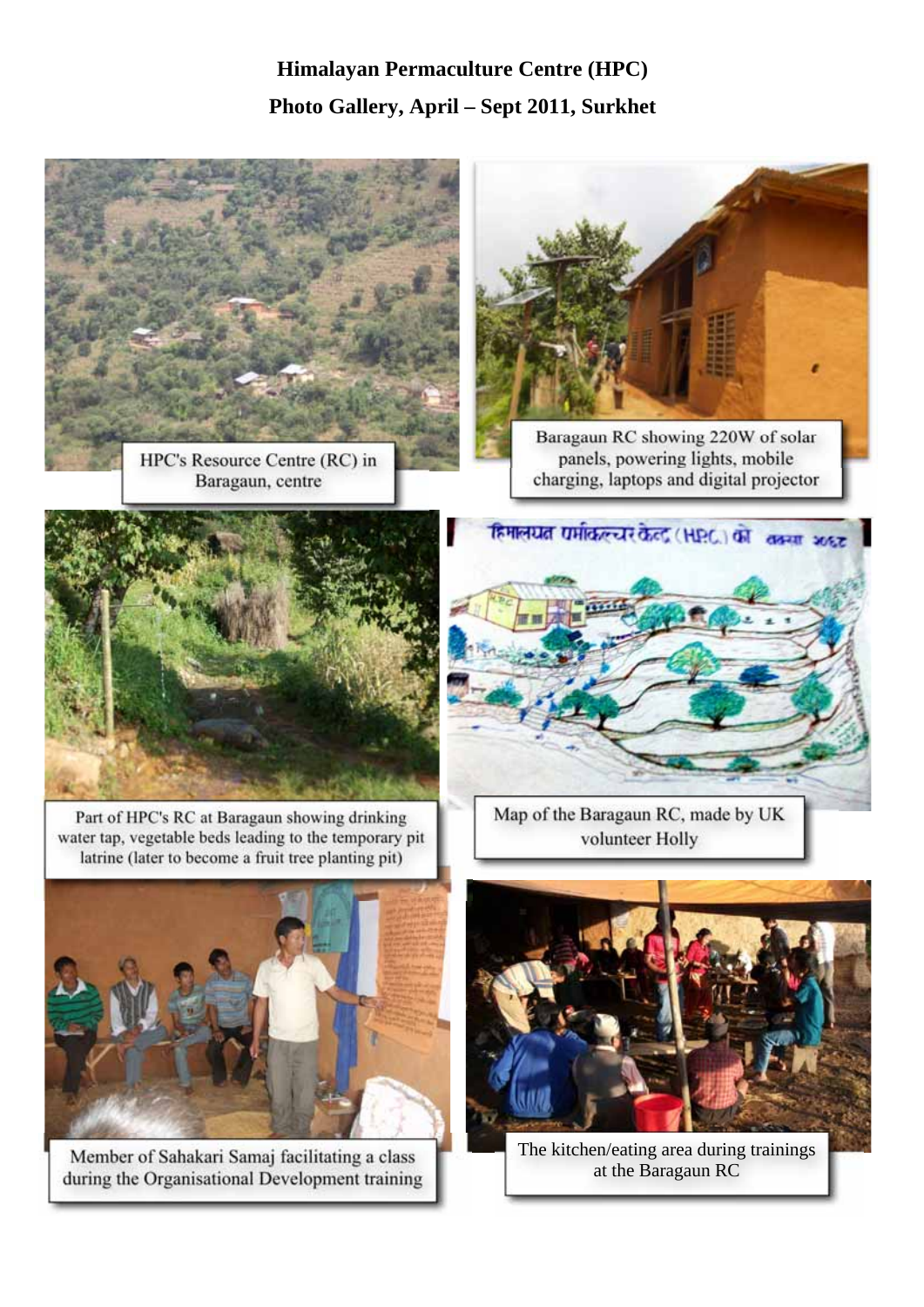## **Himalayan Permaculture Centre (HPC) Photo Gallery, April – Sept 2011, Surkhet**



HPC's Resource Centre (RC) in Baragaun, centre



Baragaun RC showing 220W of solar panels, powering lights, mobile charging, laptops and digital projector



Part of HPC's RC at Baragaun showing drinking water tap, vegetable beds leading to the temporary pit latrine (later to become a fruit tree planting pit)



Member of Sahakari Samaj facilitating a class during the Organisational Development training



**Map of the Baragaun RC, made by UK** volunteer Holly



**The kitchen/eating area during trainings** at the Baragaun RC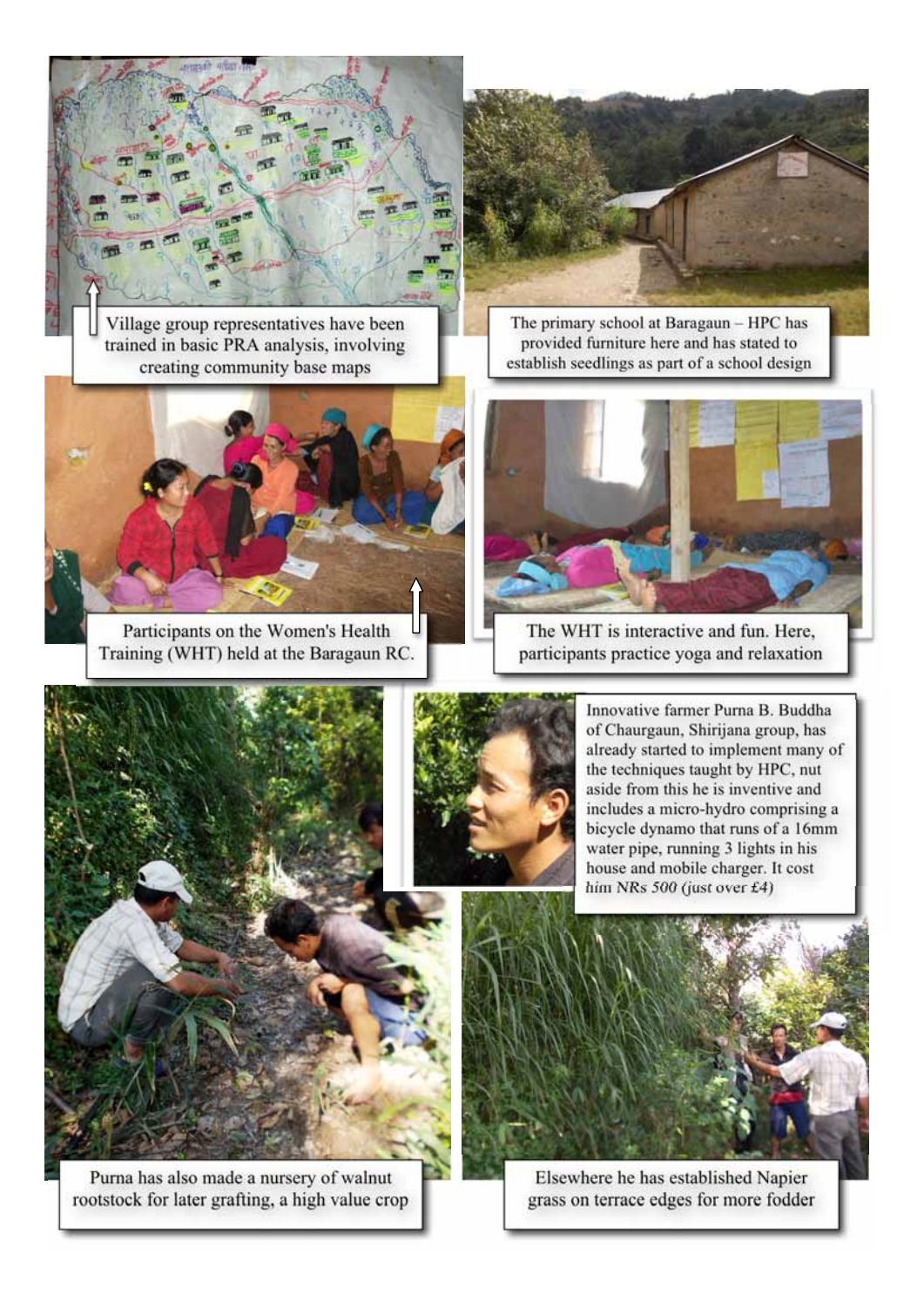

Village group representatives have been trained in basic PRA analysis, involving creating community base maps



Participants on the Women's Health Training (WHT) held at the Baragaun RC.



The primary school at Baragaun – HPC has provided furniture here and has stated to establish seedlings as part of a school design



The WHT is interactive and fun. Here, participants practice yoga and relaxation



Purna has also made a nursery of walnut rootstock for later grafting, a high value crop





Elsewhere he has established Napier grass on terrace edges for more fodder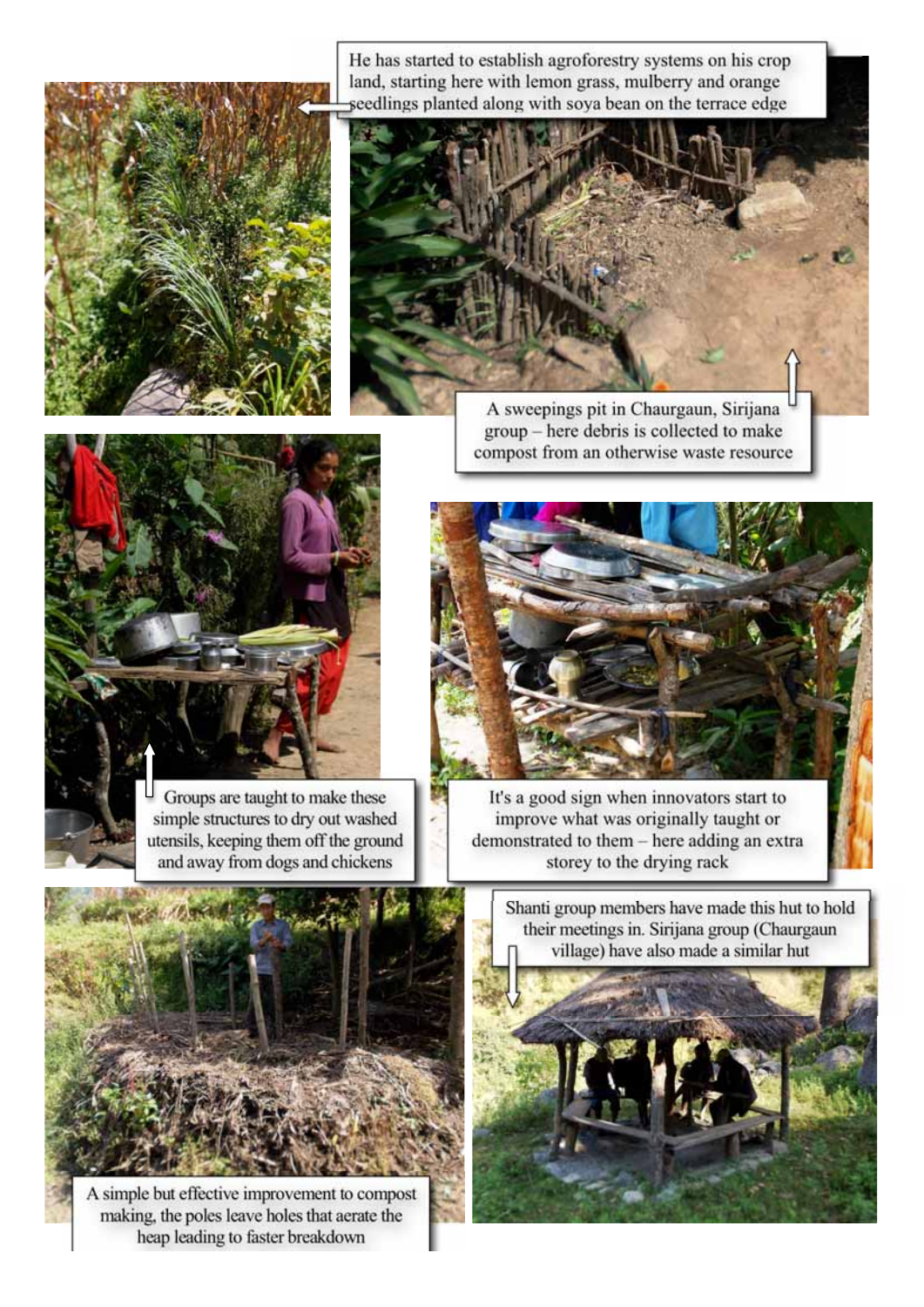He has started to establish agroforestry systems on his crop land, starting here with lemon grass, mulberry and orange seedlings planted along with soya bean on the terrace edge



A sweepings pit in Chaurgaun, Sirijana group – here debris is collected to make compost from an otherwise waste resource



simple structures to dry out washed utensils, keeping them off the ground and away from dogs and chickens



storey to the drying rack It's a good sign when innovators start to improve what was originally taught or demonstrated to them – here adding an extra



A simple but effective improvement to compost making, the poles leave holes that aerate the heap leading to faster breakdown

Shanti group members have made this hut to hold their meetings in. Sirijana group (Chaurgaun village) have also made a similar hut

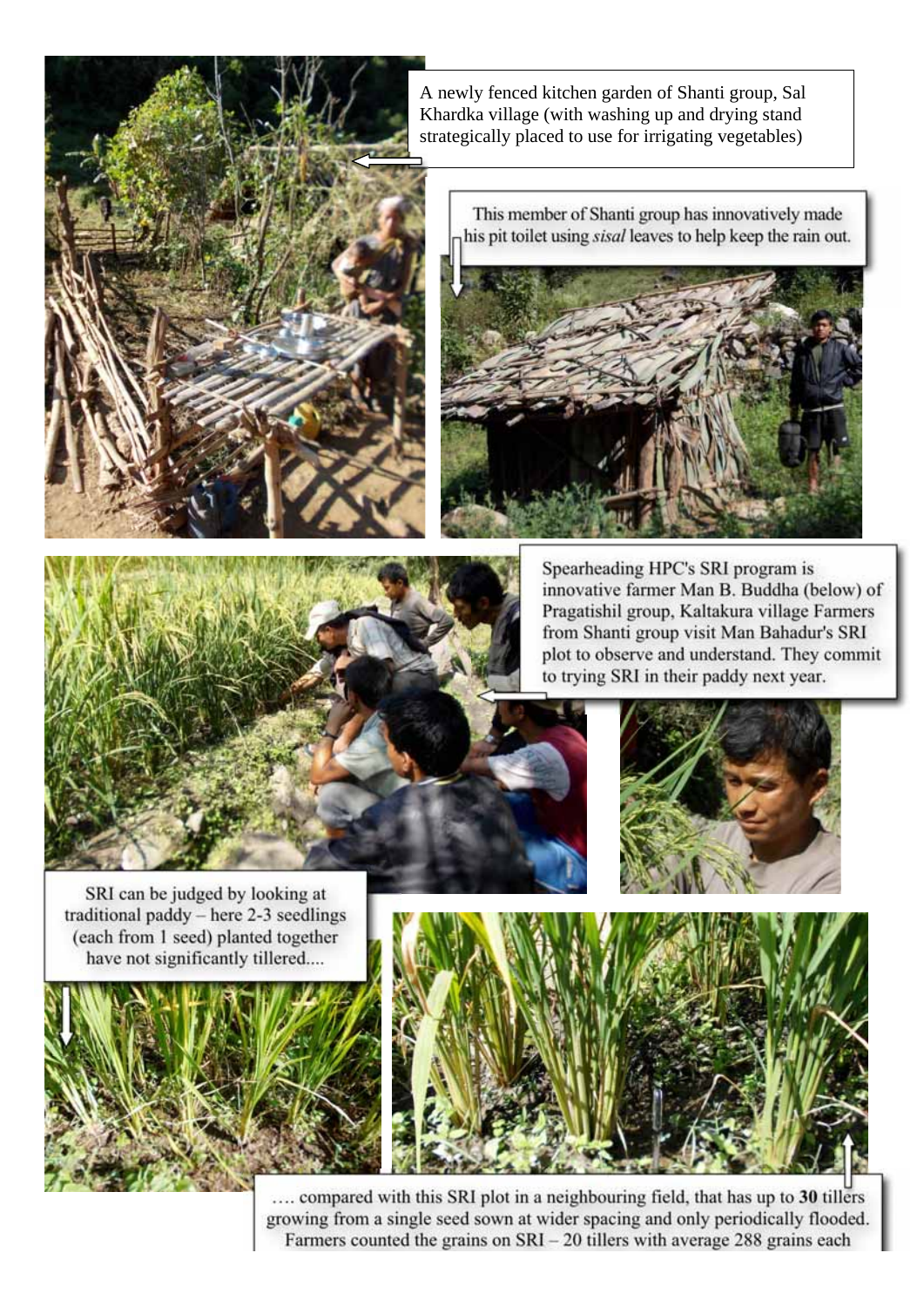

A newly fenced kitchen garden of Shanti group, Sal Khardka village (with washing up and drying stand strategically placed to use for irrigating vegetables)

> This member of Shanti group has innovatively made his pit toilet using *sisal* leaves to help keep the rain out.



Spearheading HPC's SRI program is innovative farmer Man B. Buddha (below) of Pragatishil group, Kaltakura village Farmers from Shanti group visit Man Bahadur's SRI plot to observe and understand. They commit to trying SRI in their paddy next year.



SRI can be judged by looking at traditional paddy – here 2-3 seedlings (each from 1 seed) planted together have not significantly tillered....





 …. compared with this SRI plot in a neighbouring field, that has up to **30** tillers growing from a single seed sown at wider spacing and only periodically flooded. Farmers counted the grains on SRI – 20 tillers with average 288 grains each